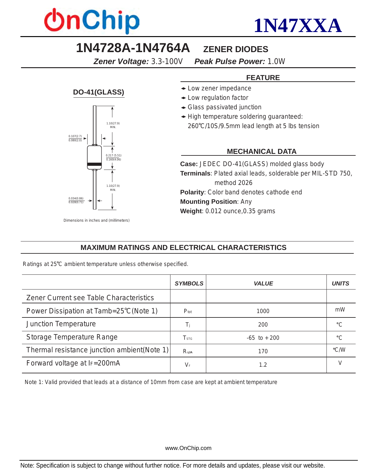



### **1N4728A-1N4764A ZENER DIODES**

*Zener Voltage: 3.3-100V**Peak Pulse Power: 1.0W*

#### **FEATURE**

- Low zener impedance
- Low regulation factor
- Glass passivated junction
- High temperature soldering guaranteed:
	- 260 C/10S/9.5mm lead length at 5 lbs tension

#### **MECHANICAL DATA**

**Case:** JEDEC DO-41(GLASS) molded glass body **Terminals**: Plated axial leads, solderable per MIL-STD 750, method 2026 **Polarity**: Color band denotes cathode end **Mounting Position**: Any **Weight**: 0.012 ounce,0.35 grams

#### **MAXIMUM RATINGS AND ELECTRICAL CHARACTERISTICS**

Ratings at 25°C ambient temperature unless otherwise specified.

|                                             | <b>SYMBOLS</b>   | VALUE           | UNITS              |
|---------------------------------------------|------------------|-----------------|--------------------|
| Zener Current see Table Characteristics     |                  |                 |                    |
| Power Dissipation at Tamb=25°C(Note 1)      | $P_{\text{tot}}$ | 1000            | mW                 |
| <b>Junction Temperature</b>                 | Ti               | 200             | $\circ$            |
| <b>Storage Temperature Range</b>            | T <sub>STG</sub> | $-65$ to $+200$ | $\circ$            |
| Thermal resistance junction ambient(Note 1) | $R_{qJA}$        | 170             | $\rm ^{\circ}$ C/W |
| Forward voltage at IF=200mA                 | $V_{\rm F}$      | 1.2             | $\mathbf{V}$       |

Note 1: Valid provided that leads at a distance of 10mm from case are kept at ambient temperature

www.OnChip.com

Note: Specification is subject to change without further notice. For more details and updates, please visit our website.



**DO-41(GLASS)**

*Dimensions in inches and (millimeters)*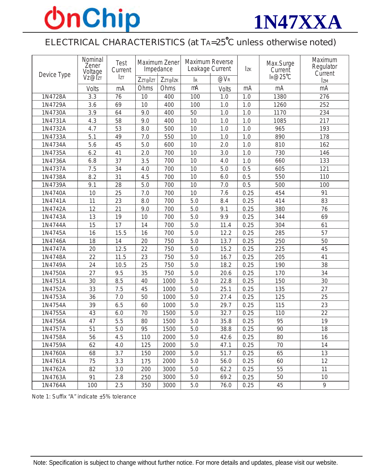# **OnChip**



## ELECTRICAL CHARACTERISTICS (at TA=25°C unless otherwise noted)

| Device Type | Nominal<br>Zener<br>Voltage<br>VZ@ZT | <b>Test</b><br>Current<br>Izt | Maximum Zener<br>Impedance |         | Maximum Reverse<br>Leakage Current |          | $I_{ZK}$         | Max.Surge<br>Current | Maximum<br>Regulator<br>Current |
|-------------|--------------------------------------|-------------------------------|----------------------------|---------|------------------------------------|----------|------------------|----------------------|---------------------------------|
|             |                                      |                               | Zzr@Izr                    | Zzr@Izk | $\rm\,I\!R$                        | $@V_{R}$ |                  | $I_R@25°C$           | <b>IzM</b>                      |
|             | Volts                                | mA                            | Ohms                       | Ohms    | mA                                 | Volts    | mA               | mA                   | mA                              |
| 1N4728A     | $\overline{3.3}$                     | 76                            | $\overline{10}$            | 400     | 100                                | 1.0      | 1.0              | 1380                 | 276                             |
| 1N4729A     | 3.6                                  | 69                            | 10                         | 400     | 100                                | $1.0$    | 1.0              | 1260                 | 252                             |
| 1N4730A     | 3.9                                  | 64                            | 9.0                        | 400     | 50                                 | $1.0\,$  | $\overline{1.0}$ | 1170                 | 234                             |
| 1N4731A     | 4.3                                  | 58                            | 9.0                        | 400     | 10                                 | $1.0\,$  | $1.0$            | 1085                 | 217                             |
| 1N4732A     | 4.7                                  | 53                            | 8.0                        | 500     | 10                                 | $1.0$    | $1.0$            | 965                  | 193                             |
| 1N4733A     | 5.1                                  | 49                            | 7.0                        | 550     | 10                                 | $1.0$    | 1.0              | 890                  | 178                             |
| 1N4734A     | 5.6                                  | 45                            | 5.0                        | 600     | 10                                 | 2.0      | 1.0              | 810                  | 162                             |
| 1N4735A     | 6.2                                  | 41                            | 2.0                        | 700     | 10                                 | 3.0      | 1.0              | 730                  | 146                             |
| 1N4736A     | 6.8                                  | 37                            | 3.5                        | 700     | 10                                 | 4.0      | 1.0              | 660                  | 133                             |
| 1N4737A     | 7.5                                  | 34                            | $\overline{4.0}$           | 700     | 10                                 | 5.0      | 0.5              | 605                  | $\overline{121}$                |
| 1N4738A     | 8.2                                  | 31                            | 4.5                        | 700     | 10                                 | 6.0      | 0.5              | 550                  | 110                             |
| 1N4739A     | 9.1                                  | 28                            | 5.0                        | 700     | 10                                 | $7.0\,$  | 0.5              | 500                  | 100                             |
| 1N4740A     | 10                                   | 25                            | 7.0                        | 700     | 10                                 | 7.6      | 0.25             | 454                  | 91                              |
| 1N4741A     | 11                                   | 23                            | 8.0                        | 700     | 5.0                                | 8.4      | 0.25             | 414                  | 83                              |
| 1N4742A     | 12                                   | 21                            | 9.0                        | 700     | 5.0                                | 9.1      | 0.25             | 380                  | 76                              |
| 1N4743A     | 13                                   | 19                            | 10                         | 700     | 5.0                                | 9.9      | 0.25             | 344                  | 69                              |
| 1N4744A     | 15                                   | 17                            | 14                         | 700     | 5.0                                | 11.4     | 0.25             | 304                  | 61                              |
| 1N4745A     | 16                                   | 15.5                          | 16                         | 700     | 5.0                                | 12.2     | 0.25             | 285                  | 57                              |
| 1N4746A     | 18                                   | 14                            | 20                         | 750     | 5.0                                | 13.7     | 0.25             | 250                  | 50                              |
| 1N4747A     | 20                                   | 12.5                          | 22                         | 750     | 5.0                                | 15.2     | 0.25             | 225                  | 45                              |
| 1N4748A     | 22                                   | 11.5                          | 23                         | 750     | 5.0                                | 16.7     | 0.25             | 205                  | 41                              |
| 1N4749A     | 24                                   | 10.5                          | 25                         | 750     | $5.0\,$                            | 18.2     | 0.25             | 190                  | 38                              |
| 1N4750A     | 27                                   | 9.5                           | 35                         | 750     | 5.0                                | 20.6     | 0.25             | 170                  | 34                              |
| 1N4751A     | 30                                   | 8.5                           | 40                         | 1000    | 5.0                                | 22.8     | 0.25             | 150                  | 30                              |
| 1N4752A     | 33                                   | 7.5                           | 45                         | 1000    | 5.0                                | 25.1     | 0.25             | 135                  | 27                              |
| 1N4753A     | 36                                   | 7.0                           | 50                         | 1000    | 5.0                                | 27.4     | 0.25             | 125                  | 25                              |
| 1N4754A     | 39                                   | 6.5                           | 60                         | 1000    | 5.0                                | 29.7     | 0.25             | 115                  | 23                              |
| 1N4755A     | 43                                   | 6.0                           | $\overline{70}$            | 1500    | 5.0                                | 32.7     | 0.25             | 110                  | $\overline{22}$                 |
| 1N4756A     | 47                                   | 5.5                           | 80                         | 1500    | 5.0                                | 35.8     | 0.25             | 95                   | 19                              |
| 1N4757A     | 51                                   | $\overline{5.0}$              | $\overline{95}$            | 1500    | $\overline{5.0}$                   | 38.8     | 0.25             | 90                   | 18                              |
| 1N4758A     | 56                                   | 4.5                           | 110                        | 2000    | 5.0                                | 42.6     | 0.25             | 80                   | 16                              |
| 1N4759A     | 62                                   | 4.0                           | 125                        | 2000    | 5.0                                | 47.1     | 0.25             | 70                   | 14                              |
| 1N4760A     | 68                                   | 3.7                           | 150                        | 2000    | 5.0                                | 51.7     | 0.25             | 65                   | 13                              |
| 1N4761A     | 75                                   | 3.3                           | 175                        | 2000    | 5.0                                | 56.0     | 0.25             | 60                   | 12                              |
| 1N4762A     | 82                                   | 3.0                           | 200                        | 3000    | 5.0                                | 62.2     | 0.25             | 55                   | 11                              |
| 1N4763A     | 91                                   | 2.8                           | 250                        | 3000    | 5.0                                | 69.2     | 0.25             | 50                   | 10                              |
| 1N4764A     | 100                                  | 2.5                           | 350                        | 3000    | 5.0                                | 76.0     | 0.25             | 45                   | 9                               |

Note 1: Suffix "A" indicate ±5% tolerance